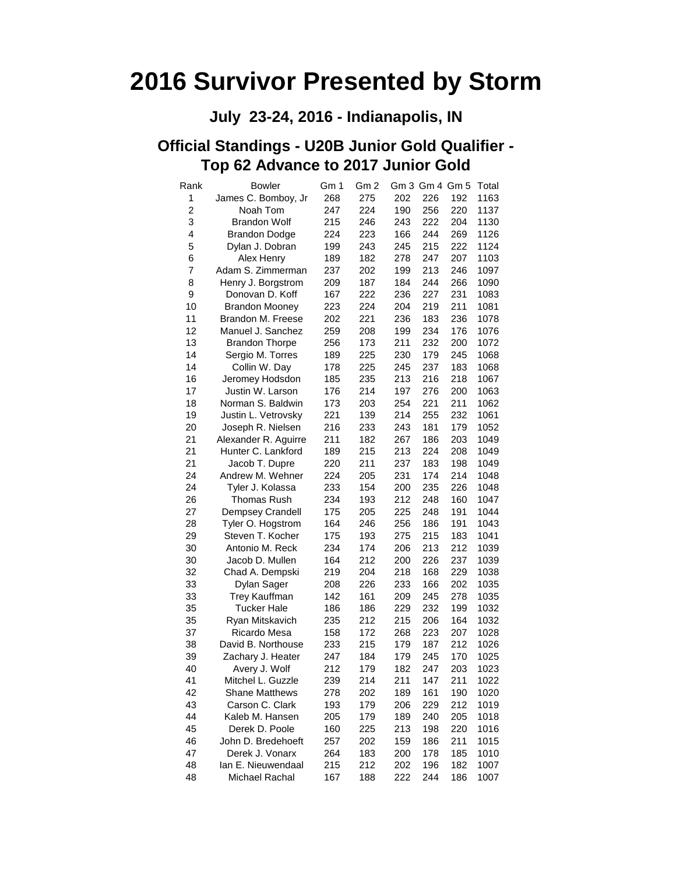#### **July 23-24, 2016 - Indianapolis, IN**

#### **Official Standings - U20B Junior Gold Qualifier - Top 62 Advance to 2017 Junior Gold**

| Rank | <b>Bowler</b>         | Gm 1 | Gm 2 |     | Gm 3 Gm 4 Gm 5 |     | Total |
|------|-----------------------|------|------|-----|----------------|-----|-------|
| 1    | James C. Bomboy, Jr   | 268  | 275  | 202 | 226            | 192 | 1163  |
| 2    | Noah Tom              | 247  | 224  | 190 | 256            | 220 | 1137  |
| 3    | <b>Brandon Wolf</b>   | 215  | 246  | 243 | 222            | 204 | 1130  |
| 4    | <b>Brandon Dodge</b>  | 224  | 223  | 166 | 244            | 269 | 1126  |
| 5    | Dylan J. Dobran       | 199  | 243  | 245 | 215            | 222 | 1124  |
| 6    | Alex Henry            | 189  | 182  | 278 | 247            | 207 | 1103  |
| 7    | Adam S. Zimmerman     | 237  | 202  | 199 | 213            | 246 | 1097  |
| 8    | Henry J. Borgstrom    | 209  | 187  | 184 | 244            | 266 | 1090  |
| 9    | Donovan D. Koff       | 167  | 222  | 236 | 227            | 231 | 1083  |
| 10   | <b>Brandon Mooney</b> | 223  | 224  | 204 | 219            | 211 | 1081  |
| 11   | Brandon M. Freese     | 202  | 221  | 236 | 183            | 236 | 1078  |
| 12   | Manuel J. Sanchez     | 259  | 208  | 199 | 234            | 176 | 1076  |
| 13   | <b>Brandon Thorpe</b> | 256  | 173  | 211 | 232            | 200 | 1072  |
| 14   | Sergio M. Torres      | 189  | 225  | 230 | 179            | 245 | 1068  |
| 14   | Collin W. Day         | 178  | 225  | 245 | 237            | 183 | 1068  |
| 16   | Jeromey Hodsdon       | 185  | 235  | 213 | 216            | 218 | 1067  |
| 17   | Justin W. Larson      | 176  | 214  | 197 | 276            | 200 | 1063  |
| 18   | Norman S. Baldwin     | 173  | 203  | 254 | 221            | 211 | 1062  |
| 19   | Justin L. Vetrovsky   | 221  | 139  | 214 | 255            | 232 | 1061  |
| 20   | Joseph R. Nielsen     | 216  | 233  | 243 | 181            | 179 | 1052  |
| 21   | Alexander R. Aguirre  | 211  | 182  | 267 | 186            | 203 | 1049  |
| 21   | Hunter C. Lankford    | 189  | 215  | 213 | 224            | 208 | 1049  |
| 21   | Jacob T. Dupre        | 220  | 211  | 237 | 183            | 198 | 1049  |
| 24   | Andrew M. Wehner      | 224  | 205  | 231 | 174            | 214 | 1048  |
| 24   | Tyler J. Kolassa      | 233  | 154  | 200 | 235            | 226 | 1048  |
| 26   | <b>Thomas Rush</b>    | 234  | 193  | 212 | 248            | 160 | 1047  |
| 27   | Dempsey Crandell      | 175  | 205  | 225 | 248            | 191 | 1044  |
| 28   | Tyler O. Hogstrom     | 164  | 246  | 256 | 186            | 191 | 1043  |
| 29   | Steven T. Kocher      | 175  | 193  | 275 | 215            | 183 | 1041  |
| 30   | Antonio M. Reck       | 234  | 174  | 206 | 213            | 212 | 1039  |
| 30   | Jacob D. Mullen       | 164  | 212  | 200 | 226            | 237 | 1039  |
| 32   | Chad A. Dempski       | 219  | 204  | 218 | 168            | 229 | 1038  |
| 33   | Dylan Sager           | 208  | 226  | 233 | 166            | 202 | 1035  |
| 33   | <b>Trey Kauffman</b>  | 142  | 161  | 209 | 245            | 278 | 1035  |
| 35   | Tucker Hale           | 186  | 186  | 229 | 232            | 199 | 1032  |
| 35   | Ryan Mitskavich       | 235  | 212  | 215 | 206            | 164 | 1032  |
| 37   | Ricardo Mesa          | 158  | 172  | 268 | 223            | 207 | 1028  |
| 38   | David B. Northouse    | 233  | 215  | 179 | 187            | 212 | 1026  |
| 39   | Zachary J. Heater     | 247  | 184  | 179 | 245            | 170 | 1025  |
| 40   | Avery J. Wolf         | 212  | 179  | 182 | 247            | 203 | 1023  |
| 41   | Mitchel L. Guzzle     | 239  | 214  | 211 | 147            | 211 | 1022  |
| 42   | <b>Shane Matthews</b> | 278  | 202  | 189 | 161            | 190 | 1020  |
| 43   | Carson C. Clark       | 193  | 179  | 206 | 229            | 212 | 1019  |
| 44   | Kaleb M. Hansen       | 205  | 179  | 189 | 240            | 205 | 1018  |
| 45   | Derek D. Poole        | 160  | 225  | 213 | 198            | 220 | 1016  |
| 46   | John D. Bredehoeft    | 257  | 202  | 159 | 186            | 211 | 1015  |
| 47   | Derek J. Vonarx       | 264  | 183  | 200 | 178            | 185 | 1010  |
| 48   | Ian E. Nieuwendaal    | 215  | 212  | 202 | 196            | 182 | 1007  |
| 48   | Michael Rachal        | 167  | 188  | 222 | 244            | 186 | 1007  |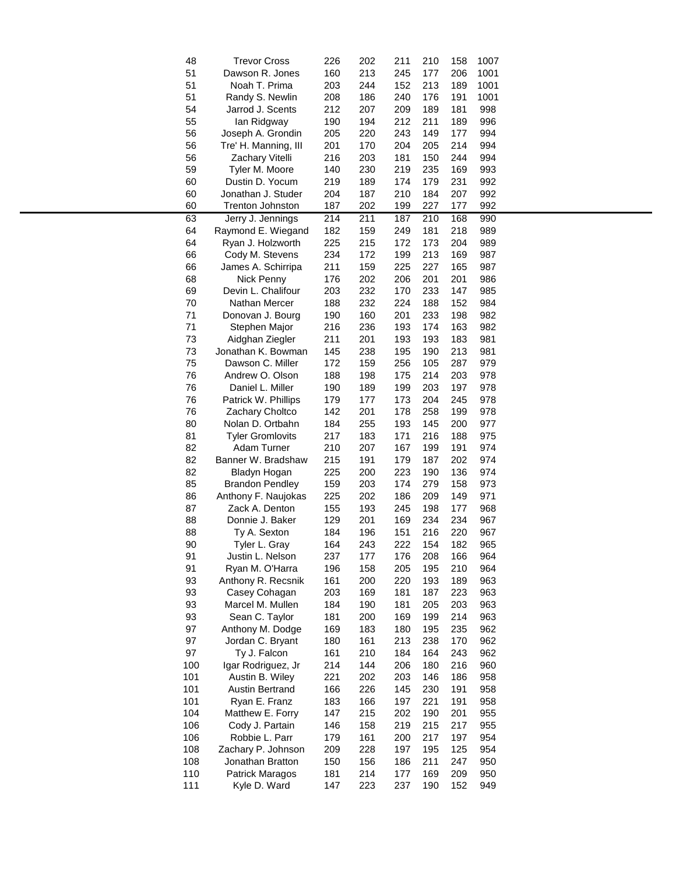| 48  | <b>Trevor Cross</b>     | 226 | 202 | 211 | 210 | 158        | 1007       |  |
|-----|-------------------------|-----|-----|-----|-----|------------|------------|--|
| 51  | Dawson R. Jones         | 160 | 213 | 245 | 177 | 206        | 1001       |  |
| 51  | Noah T. Prima           | 203 | 244 | 152 | 213 | 189        | 1001       |  |
| 51  | Randy S. Newlin         | 208 | 186 | 240 | 176 | 191        | 1001       |  |
| 54  | Jarrod J. Scents        | 212 | 207 | 209 | 189 | 181        | 998        |  |
| 55  | lan Ridgway             | 190 | 194 | 212 | 211 | 189        | 996        |  |
| 56  | Joseph A. Grondin       | 205 | 220 | 243 | 149 | 177        | 994        |  |
| 56  | Tre' H. Manning, III    | 201 | 170 | 204 | 205 | 214        | 994        |  |
| 56  | Zachary Vitelli         | 216 | 203 | 181 | 150 | 244        | 994        |  |
| 59  | Tyler M. Moore          | 140 | 230 | 219 | 235 | 169        | 993        |  |
| 60  | Dustin D. Yocum         | 219 | 189 | 174 | 179 | 231        | 992        |  |
| 60  | Jonathan J. Studer      | 204 | 187 | 210 | 184 | 207        | 992        |  |
| 60  | Trenton Johnston        | 187 | 202 | 199 | 227 | 177        | 992        |  |
|     |                         |     |     |     |     |            |            |  |
| 63  | Jerry J. Jennings       | 214 | 211 | 187 | 210 | 168<br>218 | 990<br>989 |  |
| 64  | Raymond E. Wiegand      | 182 | 159 | 249 | 181 |            |            |  |
| 64  | Ryan J. Holzworth       | 225 | 215 | 172 | 173 | 204        | 989        |  |
| 66  | Cody M. Stevens         | 234 | 172 | 199 | 213 | 169        | 987        |  |
| 66  | James A. Schirripa      | 211 | 159 | 225 | 227 | 165        | 987        |  |
| 68  | Nick Penny              | 176 | 202 | 206 | 201 | 201        | 986        |  |
| 69  | Devin L. Chalifour      | 203 | 232 | 170 | 233 | 147        | 985        |  |
| 70  | Nathan Mercer           | 188 | 232 | 224 | 188 | 152        | 984        |  |
| 71  | Donovan J. Bourg        | 190 | 160 | 201 | 233 | 198        | 982        |  |
| 71  | Stephen Major           | 216 | 236 | 193 | 174 | 163        | 982        |  |
| 73  | Aidghan Ziegler         | 211 | 201 | 193 | 193 | 183        | 981        |  |
| 73  | Jonathan K. Bowman      | 145 | 238 | 195 | 190 | 213        | 981        |  |
| 75  | Dawson C. Miller        | 172 | 159 | 256 | 105 | 287        | 979        |  |
| 76  | Andrew O. Olson         | 188 | 198 | 175 | 214 | 203        | 978        |  |
| 76  | Daniel L. Miller        | 190 | 189 | 199 | 203 | 197        | 978        |  |
| 76  | Patrick W. Phillips     | 179 | 177 | 173 | 204 | 245        | 978        |  |
| 76  | Zachary Choltco         | 142 | 201 | 178 | 258 | 199        | 978        |  |
| 80  | Nolan D. Ortbahn        | 184 | 255 | 193 | 145 | 200        | 977        |  |
| 81  | <b>Tyler Gromlovits</b> | 217 | 183 | 171 | 216 | 188        | 975        |  |
| 82  | Adam Turner             | 210 | 207 | 167 | 199 | 191        | 974        |  |
| 82  | Banner W. Bradshaw      | 215 | 191 | 179 | 187 | 202        | 974        |  |
| 82  | Bladyn Hogan            | 225 | 200 | 223 | 190 | 136        | 974        |  |
| 85  | <b>Brandon Pendley</b>  | 159 | 203 | 174 | 279 | 158        | 973        |  |
| 86  | Anthony F. Naujokas     | 225 | 202 | 186 | 209 | 149        | 971        |  |
| 87  | Zack A. Denton          | 155 | 193 | 245 | 198 | 177        | 968        |  |
| 88  | Donnie J. Baker         | 129 | 201 | 169 | 234 | 234        | 967        |  |
| 88  | Ty A. Sexton            | 184 | 196 | 151 | 216 | 220        | 967        |  |
| 90  | Tyler L. Gray           | 164 | 243 | 222 | 154 | 182        | 965        |  |
| 91  | Justin L. Nelson        | 237 | 177 | 176 | 208 | 166        | 964        |  |
| 91  | Ryan M. O'Harra         | 196 | 158 | 205 | 195 | 210        | 964        |  |
| 93  | Anthony R. Recsnik      | 161 | 200 | 220 | 193 | 189        | 963        |  |
| 93  | Casey Cohagan           | 203 | 169 | 181 | 187 | 223        | 963        |  |
| 93  | Marcel M. Mullen        | 184 | 190 | 181 | 205 | 203        | 963        |  |
| 93  | Sean C. Taylor          | 181 | 200 | 169 | 199 | 214        | 963        |  |
| 97  | Anthony M. Dodge        | 169 | 183 | 180 | 195 | 235        | 962        |  |
| 97  | Jordan C. Bryant        | 180 | 161 | 213 | 238 | 170        | 962        |  |
| 97  | Ty J. Falcon            | 161 | 210 | 184 | 164 | 243        | 962        |  |
| 100 | Igar Rodriguez, Jr      | 214 | 144 | 206 | 180 | 216        | 960        |  |
| 101 |                         |     |     | 203 | 146 | 186        | 958        |  |
|     | Austin B. Wiley         | 221 | 202 |     |     |            |            |  |
| 101 | <b>Austin Bertrand</b>  | 166 | 226 | 145 | 230 | 191        | 958        |  |
| 101 | Ryan E. Franz           | 183 | 166 | 197 | 221 | 191        | 958        |  |
| 104 | Matthew E. Forry        | 147 | 215 | 202 | 190 | 201        | 955        |  |
| 106 | Cody J. Partain         | 146 | 158 | 219 | 215 | 217        | 955        |  |
| 106 | Robbie L. Parr          | 179 | 161 | 200 | 217 | 197        | 954        |  |
| 108 | Zachary P. Johnson      | 209 | 228 | 197 | 195 | 125        | 954        |  |
| 108 | Jonathan Bratton        | 150 | 156 | 186 | 211 | 247        | 950        |  |
| 110 | Patrick Maragos         | 181 | 214 | 177 | 169 | 209        | 950        |  |
| 111 | Kyle D. Ward            | 147 | 223 | 237 | 190 | 152        | 949        |  |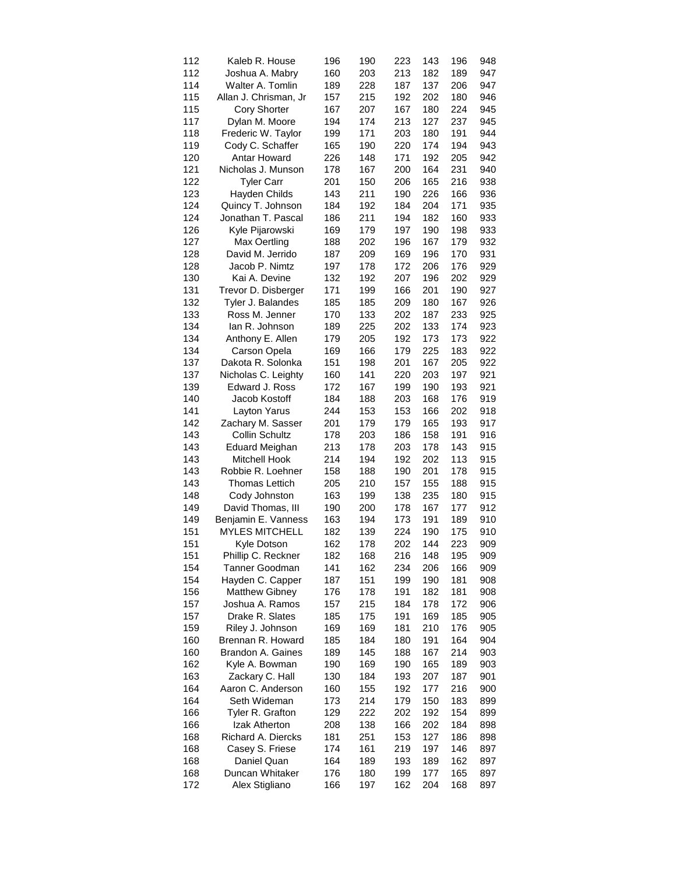| 112 | Kaleb R. House        | 196 | 190 | 223 | 143 | 196 | 948 |
|-----|-----------------------|-----|-----|-----|-----|-----|-----|
| 112 | Joshua A. Mabry       | 160 | 203 | 213 | 182 | 189 | 947 |
| 114 | Walter A. Tomlin      | 189 | 228 | 187 | 137 | 206 | 947 |
| 115 | Allan J. Chrisman, Jr | 157 | 215 | 192 | 202 | 180 | 946 |
| 115 | <b>Cory Shorter</b>   | 167 | 207 | 167 | 180 | 224 | 945 |
| 117 | Dylan M. Moore        | 194 | 174 | 213 | 127 | 237 | 945 |
| 118 | Frederic W. Taylor    | 199 | 171 | 203 | 180 | 191 | 944 |
| 119 | Cody C. Schaffer      | 165 | 190 | 220 | 174 | 194 | 943 |
| 120 | Antar Howard          | 226 | 148 | 171 | 192 | 205 | 942 |
| 121 | Nicholas J. Munson    | 178 | 167 | 200 | 164 | 231 | 940 |
| 122 | <b>Tyler Carr</b>     | 201 | 150 | 206 | 165 | 216 | 938 |
| 123 | Hayden Childs         | 143 | 211 | 190 | 226 | 166 | 936 |
| 124 | Quincy T. Johnson     | 184 | 192 | 184 | 204 | 171 | 935 |
| 124 | Jonathan T. Pascal    | 186 | 211 | 194 | 182 | 160 | 933 |
| 126 | Kyle Pijarowski       | 169 | 179 | 197 | 190 | 198 | 933 |
| 127 | Max Oertling          | 188 | 202 | 196 | 167 | 179 | 932 |
| 128 | David M. Jerrido      | 187 | 209 | 169 | 196 | 170 | 931 |
| 128 | Jacob P. Nimtz        | 197 | 178 | 172 | 206 | 176 | 929 |
| 130 | Kai A. Devine         | 132 | 192 | 207 | 196 | 202 | 929 |
| 131 | Trevor D. Disberger   | 171 | 199 | 166 | 201 | 190 | 927 |
|     |                       |     |     |     |     |     |     |
| 132 | Tyler J. Balandes     | 185 | 185 | 209 | 180 | 167 | 926 |
| 133 | Ross M. Jenner        | 170 | 133 | 202 | 187 | 233 | 925 |
| 134 | lan R. Johnson        | 189 | 225 | 202 | 133 | 174 | 923 |
| 134 | Anthony E. Allen      | 179 | 205 | 192 | 173 | 173 | 922 |
| 134 | Carson Opela          | 169 | 166 | 179 | 225 | 183 | 922 |
| 137 | Dakota R. Solonka     | 151 | 198 | 201 | 167 | 205 | 922 |
| 137 | Nicholas C. Leighty   | 160 | 141 | 220 | 203 | 197 | 921 |
| 139 | Edward J. Ross        | 172 | 167 | 199 | 190 | 193 | 921 |
| 140 | Jacob Kostoff         | 184 | 188 | 203 | 168 | 176 | 919 |
| 141 | Layton Yarus          | 244 | 153 | 153 | 166 | 202 | 918 |
| 142 | Zachary M. Sasser     | 201 | 179 | 179 | 165 | 193 | 917 |
| 143 | <b>Collin Schultz</b> | 178 | 203 | 186 | 158 | 191 | 916 |
| 143 | <b>Eduard Meighan</b> | 213 | 178 | 203 | 178 | 143 | 915 |
| 143 | Mitchell Hook         | 214 | 194 | 192 | 202 | 113 | 915 |
| 143 | Robbie R. Loehner     | 158 | 188 | 190 | 201 | 178 | 915 |
| 143 | <b>Thomas Lettich</b> | 205 | 210 | 157 | 155 | 188 | 915 |
| 148 | Cody Johnston         | 163 | 199 | 138 | 235 | 180 | 915 |
| 149 | David Thomas, III     | 190 | 200 | 178 | 167 | 177 | 912 |
| 149 | Benjamin E. Vanness   | 163 | 194 | 173 | 191 | 189 | 910 |
| 151 | <b>MYLES MITCHELL</b> | 182 | 139 | 224 | 190 | 175 | 910 |
| 151 | Kyle Dotson           | 162 | 178 | 202 | 144 | 223 | 909 |
| 151 | Phillip C. Reckner    | 182 | 168 | 216 | 148 | 195 | 909 |
| 154 | <b>Tanner Goodman</b> | 141 | 162 | 234 | 206 | 166 | 909 |
| 154 | Hayden C. Capper      | 187 | 151 | 199 | 190 | 181 | 908 |
| 156 | <b>Matthew Gibney</b> | 176 | 178 | 191 | 182 | 181 | 908 |
| 157 | Joshua A. Ramos       | 157 | 215 | 184 | 178 | 172 | 906 |
| 157 | Drake R. Slates       | 185 | 175 | 191 | 169 | 185 | 905 |
| 159 | Riley J. Johnson      | 169 | 169 | 181 | 210 | 176 | 905 |
| 160 | Brennan R. Howard     | 185 | 184 | 180 | 191 | 164 | 904 |
| 160 | Brandon A. Gaines     | 189 | 145 | 188 | 167 | 214 | 903 |
| 162 | Kyle A. Bowman        | 190 | 169 | 190 | 165 | 189 | 903 |
| 163 | Zackary C. Hall       | 130 | 184 | 193 | 207 | 187 | 901 |
| 164 | Aaron C. Anderson     | 160 | 155 | 192 | 177 | 216 | 900 |
| 164 | Seth Wideman          | 173 | 214 | 179 | 150 | 183 | 899 |
| 166 | Tyler R. Grafton      | 129 | 222 | 202 | 192 | 154 | 899 |
| 166 | Izak Atherton         | 208 | 138 | 166 | 202 | 184 | 898 |
| 168 | Richard A. Diercks    | 181 | 251 | 153 | 127 | 186 | 898 |
| 168 | Casey S. Friese       | 174 | 161 | 219 | 197 | 146 | 897 |
| 168 | Daniel Quan           | 164 | 189 | 193 | 189 | 162 | 897 |
| 168 | Duncan Whitaker       | 176 | 180 | 199 | 177 | 165 | 897 |
| 172 | Alex Stigliano        | 166 | 197 | 162 | 204 | 168 | 897 |
|     |                       |     |     |     |     |     |     |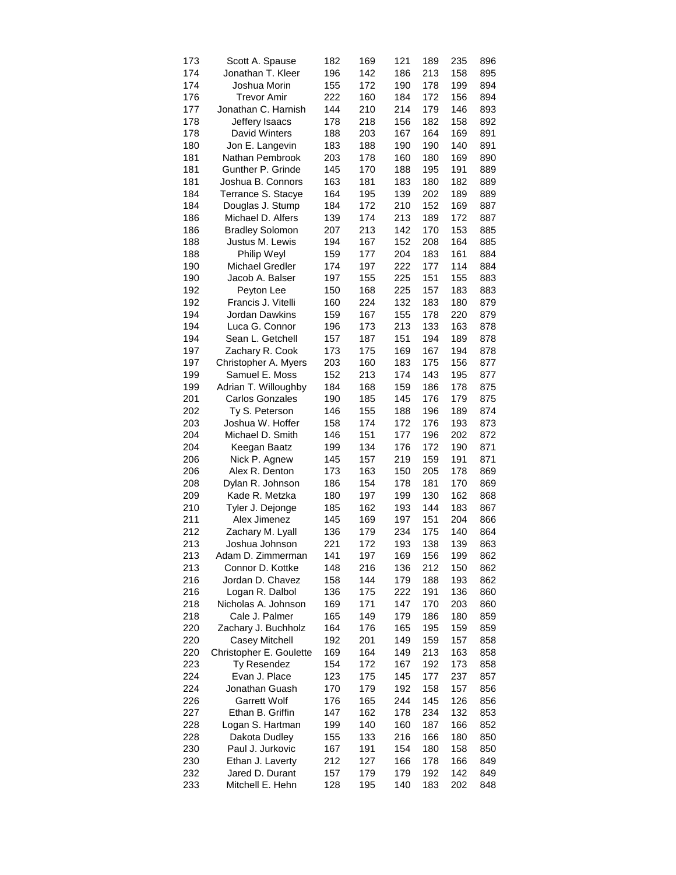| 173 | Scott A. Spause         | 182 | 169 | 121 | 189 | 235        | 896 |
|-----|-------------------------|-----|-----|-----|-----|------------|-----|
| 174 | Jonathan T. Kleer       | 196 | 142 | 186 | 213 | 158        | 895 |
| 174 | Joshua Morin            | 155 | 172 | 190 | 178 | 199        | 894 |
| 176 | Trevor Amir             | 222 | 160 | 184 | 172 | 156        | 894 |
| 177 | Jonathan C. Harnish     | 144 | 210 | 214 | 179 | 146        | 893 |
| 178 | Jeffery Isaacs          | 178 | 218 | 156 | 182 | 158        | 892 |
| 178 | David Winters           | 188 | 203 | 167 | 164 | 169        | 891 |
| 180 | Jon E. Langevin         | 183 | 188 | 190 | 190 | 140        | 891 |
| 181 | Nathan Pembrook         | 203 | 178 | 160 | 180 | 169        | 890 |
| 181 | Gunther P. Grinde       | 145 | 170 | 188 | 195 | 191        | 889 |
| 181 | Joshua B. Connors       | 163 | 181 | 183 | 180 | 182        | 889 |
| 184 | Terrance S. Stacye      | 164 | 195 | 139 | 202 | 189        | 889 |
| 184 | Douglas J. Stump        | 184 | 172 | 210 | 152 | 169        | 887 |
| 186 | Michael D. Alfers       | 139 | 174 | 213 | 189 | 172        | 887 |
|     |                         |     |     | 142 |     |            |     |
| 186 | <b>Bradley Solomon</b>  | 207 | 213 |     | 170 | 153<br>164 | 885 |
| 188 | Justus M. Lewis         | 194 | 167 | 152 | 208 |            | 885 |
| 188 | Philip Weyl             | 159 | 177 | 204 | 183 | 161        | 884 |
| 190 | <b>Michael Gredler</b>  | 174 | 197 | 222 | 177 | 114        | 884 |
| 190 | Jacob A. Balser         | 197 | 155 | 225 | 151 | 155        | 883 |
| 192 | Peyton Lee              | 150 | 168 | 225 | 157 | 183        | 883 |
| 192 | Francis J. Vitelli      | 160 | 224 | 132 | 183 | 180        | 879 |
| 194 | Jordan Dawkins          | 159 | 167 | 155 | 178 | 220        | 879 |
| 194 | Luca G. Connor          | 196 | 173 | 213 | 133 | 163        | 878 |
| 194 | Sean L. Getchell        | 157 | 187 | 151 | 194 | 189        | 878 |
| 197 | Zachary R. Cook         | 173 | 175 | 169 | 167 | 194        | 878 |
| 197 | Christopher A. Myers    | 203 | 160 | 183 | 175 | 156        | 877 |
| 199 | Samuel E. Moss          | 152 | 213 | 174 | 143 | 195        | 877 |
| 199 | Adrian T. Willoughby    | 184 | 168 | 159 | 186 | 178        | 875 |
| 201 | <b>Carlos Gonzales</b>  | 190 | 185 | 145 | 176 | 179        | 875 |
| 202 | Ty S. Peterson          | 146 | 155 | 188 | 196 | 189        | 874 |
| 203 | Joshua W. Hoffer        | 158 | 174 | 172 | 176 | 193        | 873 |
| 204 | Michael D. Smith        | 146 | 151 | 177 | 196 | 202        | 872 |
| 204 | Keegan Baatz            | 199 | 134 | 176 | 172 | 190        | 871 |
| 206 | Nick P. Agnew           | 145 | 157 | 219 | 159 | 191        | 871 |
| 206 | Alex R. Denton          | 173 | 163 | 150 | 205 | 178        | 869 |
| 208 | Dylan R. Johnson        | 186 | 154 | 178 | 181 | 170        | 869 |
| 209 | Kade R. Metzka          | 180 | 197 | 199 | 130 | 162        | 868 |
| 210 | Tyler J. Dejonge        | 185 | 162 | 193 | 144 | 183        | 867 |
| 211 | Alex Jimenez            | 145 | 169 | 197 | 151 | 204        | 866 |
| 212 | Zachary M. Lyall        | 136 | 179 | 234 | 175 | 140        | 864 |
| 213 | Joshua Johnson          | 221 | 172 | 193 | 138 | 139        | 863 |
| 213 | Adam D. Zimmerman       | 141 | 197 | 169 | 156 | 199        | 862 |
| 213 | Connor D. Kottke        | 148 | 216 | 136 | 212 | 150        | 862 |
| 216 | Jordan D. Chavez        | 158 | 144 | 179 | 188 | 193        | 862 |
| 216 | Logan R. Dalbol         | 136 | 175 | 222 | 191 | 136        | 860 |
| 218 | Nicholas A. Johnson     | 169 | 171 | 147 | 170 | 203        | 860 |
| 218 | Cale J. Palmer          | 165 | 149 | 179 | 186 | 180        | 859 |
| 220 | Zachary J. Buchholz     | 164 | 176 | 165 | 195 | 159        | 859 |
| 220 | Casey Mitchell          | 192 | 201 | 149 | 159 | 157        | 858 |
| 220 | Christopher E. Goulette | 169 | 164 | 149 | 213 | 163        | 858 |
| 223 | Ty Resendez             | 154 | 172 | 167 | 192 | 173        | 858 |
| 224 | Evan J. Place           | 123 | 175 | 145 | 177 | 237        | 857 |
| 224 | Jonathan Guash          | 170 | 179 | 192 | 158 | 157        | 856 |
| 226 | <b>Garrett Wolf</b>     | 176 | 165 | 244 | 145 | 126        | 856 |
| 227 | Ethan B. Griffin        | 147 | 162 | 178 | 234 | 132        | 853 |
|     | Logan S. Hartman        |     | 140 |     | 187 |            |     |
| 228 |                         | 199 |     | 160 |     | 166        | 852 |
| 228 | Dakota Dudley           | 155 | 133 | 216 | 166 | 180        | 850 |
| 230 | Paul J. Jurkovic        | 167 | 191 | 154 | 180 | 158        | 850 |
| 230 | Ethan J. Laverty        | 212 | 127 | 166 | 178 | 166        | 849 |
| 232 | Jared D. Durant         | 157 | 179 | 179 | 192 | 142        | 849 |
| 233 | Mitchell E. Hehn        | 128 | 195 | 140 | 183 | 202        | 848 |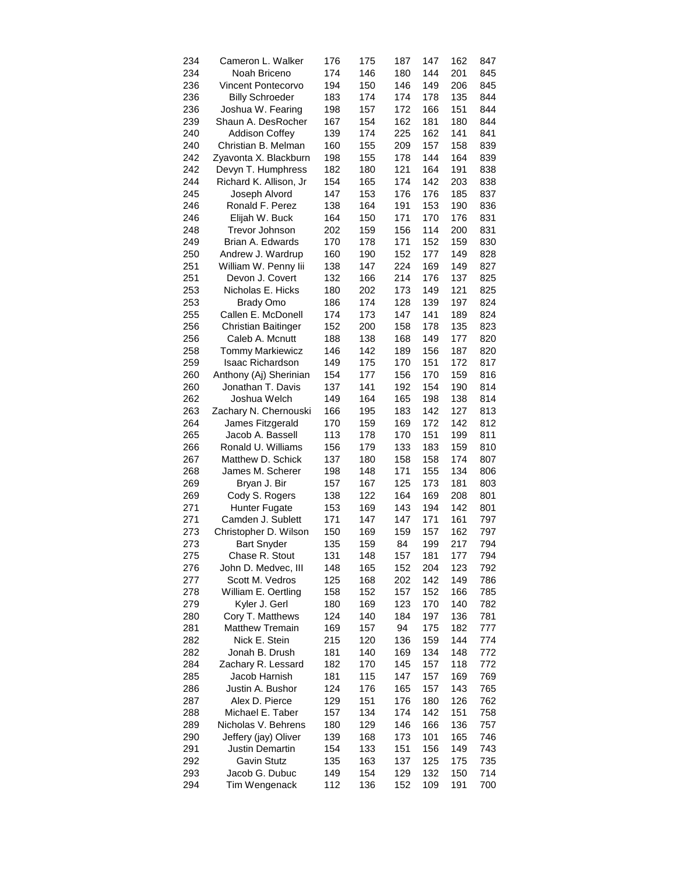| 234 | Cameron L. Walker         | 176 | 175 | 187 | 147 | 162 | 847 |
|-----|---------------------------|-----|-----|-----|-----|-----|-----|
| 234 | Noah Briceno              | 174 | 146 | 180 | 144 | 201 | 845 |
| 236 | <b>Vincent Pontecorvo</b> | 194 | 150 | 146 | 149 | 206 | 845 |
| 236 | <b>Billy Schroeder</b>    | 183 | 174 | 174 | 178 | 135 | 844 |
| 236 | Joshua W. Fearing         | 198 | 157 | 172 | 166 | 151 | 844 |
| 239 | Shaun A. DesRocher        | 167 | 154 | 162 | 181 | 180 | 844 |
| 240 | <b>Addison Coffey</b>     | 139 | 174 | 225 | 162 | 141 | 841 |
| 240 | Christian B. Melman       | 160 | 155 | 209 | 157 | 158 | 839 |
| 242 | Zyavonta X. Blackburn     | 198 | 155 | 178 | 144 | 164 | 839 |
| 242 | Devyn T. Humphress        | 182 | 180 | 121 | 164 | 191 | 838 |
| 244 | Richard K. Allison, Jr    | 154 | 165 | 174 | 142 | 203 | 838 |
| 245 | Joseph Alvord             | 147 | 153 | 176 | 176 | 185 | 837 |
| 246 | Ronald F. Perez           | 138 | 164 | 191 | 153 | 190 | 836 |
| 246 | Elijah W. Buck            | 164 | 150 | 171 | 170 | 176 | 831 |
| 248 | Trevor Johnson            |     |     |     | 114 |     | 831 |
|     |                           | 202 | 159 | 156 |     | 200 |     |
| 249 | Brian A. Edwards          | 170 | 178 | 171 | 152 | 159 | 830 |
| 250 | Andrew J. Wardrup         | 160 | 190 | 152 | 177 | 149 | 828 |
| 251 | William W. Penny lii      | 138 | 147 | 224 | 169 | 149 | 827 |
| 251 | Devon J. Covert           | 132 | 166 | 214 | 176 | 137 | 825 |
| 253 | Nicholas E. Hicks         | 180 | 202 | 173 | 149 | 121 | 825 |
| 253 | <b>Brady Omo</b>          | 186 | 174 | 128 | 139 | 197 | 824 |
| 255 | Callen E. McDonell        | 174 | 173 | 147 | 141 | 189 | 824 |
| 256 | Christian Baitinger       | 152 | 200 | 158 | 178 | 135 | 823 |
| 256 | Caleb A. Mcnutt           | 188 | 138 | 168 | 149 | 177 | 820 |
| 258 | <b>Tommy Markiewicz</b>   | 146 | 142 | 189 | 156 | 187 | 820 |
| 259 | <b>Isaac Richardson</b>   | 149 | 175 | 170 | 151 | 172 | 817 |
| 260 | Anthony (Aj) Sherinian    | 154 | 177 | 156 | 170 | 159 | 816 |
| 260 | Jonathan T. Davis         | 137 | 141 | 192 | 154 | 190 | 814 |
| 262 | Joshua Welch              | 149 | 164 | 165 | 198 | 138 | 814 |
| 263 | Zachary N. Chernouski     | 166 | 195 | 183 | 142 | 127 | 813 |
| 264 | James Fitzgerald          | 170 | 159 | 169 | 172 | 142 | 812 |
| 265 | Jacob A. Bassell          | 113 | 178 | 170 | 151 | 199 | 811 |
| 266 | Ronald U. Williams        | 156 | 179 | 133 | 183 | 159 | 810 |
| 267 | Matthew D. Schick         | 137 | 180 | 158 | 158 | 174 | 807 |
| 268 | James M. Scherer          | 198 | 148 | 171 | 155 | 134 | 806 |
| 269 | Bryan J. Bir              | 157 | 167 | 125 | 173 | 181 | 803 |
| 269 | Cody S. Rogers            | 138 | 122 | 164 | 169 | 208 | 801 |
| 271 | <b>Hunter Fugate</b>      | 153 | 169 | 143 | 194 | 142 | 801 |
| 271 | Camden J. Sublett         | 171 | 147 | 147 | 171 | 161 | 797 |
| 273 | Christopher D. Wilson     | 150 | 169 | 159 | 157 | 162 | 797 |
| 273 | <b>Bart Snyder</b>        | 135 | 159 | 84  | 199 | 217 | 794 |
| 275 | Chase R. Stout            | 131 | 148 | 157 | 181 | 177 | 794 |
|     |                           |     |     |     |     |     |     |
| 276 | John D. Medvec, III       | 148 | 165 | 152 | 204 | 123 | 792 |
| 277 | Scott M. Vedros           | 125 | 168 | 202 | 142 | 149 | 786 |
| 278 | William E. Oertling       | 158 | 152 | 157 | 152 | 166 | 785 |
| 279 | Kyler J. Gerl             | 180 | 169 | 123 | 170 | 140 | 782 |
| 280 | Cory T. Matthews          | 124 | 140 | 184 | 197 | 136 | 781 |
| 281 | Matthew Tremain           | 169 | 157 | 94  | 175 | 182 | 777 |
| 282 | Nick E. Stein             | 215 | 120 | 136 | 159 | 144 | 774 |
| 282 | Jonah B. Drush            | 181 | 140 | 169 | 134 | 148 | 772 |
| 284 | Zachary R. Lessard        | 182 | 170 | 145 | 157 | 118 | 772 |
| 285 | Jacob Harnish             | 181 | 115 | 147 | 157 | 169 | 769 |
| 286 | Justin A. Bushor          | 124 | 176 | 165 | 157 | 143 | 765 |
| 287 | Alex D. Pierce            | 129 | 151 | 176 | 180 | 126 | 762 |
| 288 | Michael E. Taber          | 157 | 134 | 174 | 142 | 151 | 758 |
| 289 | Nicholas V. Behrens       | 180 | 129 | 146 | 166 | 136 | 757 |
| 290 | Jeffery (jay) Oliver      | 139 | 168 | 173 | 101 | 165 | 746 |
| 291 | <b>Justin Demartin</b>    | 154 | 133 | 151 | 156 | 149 | 743 |
| 292 | Gavin Stutz               | 135 | 163 | 137 | 125 | 175 | 735 |
| 293 | Jacob G. Dubuc            | 149 | 154 | 129 | 132 | 150 | 714 |
| 294 | Tim Wengenack             | 112 | 136 | 152 | 109 | 191 | 700 |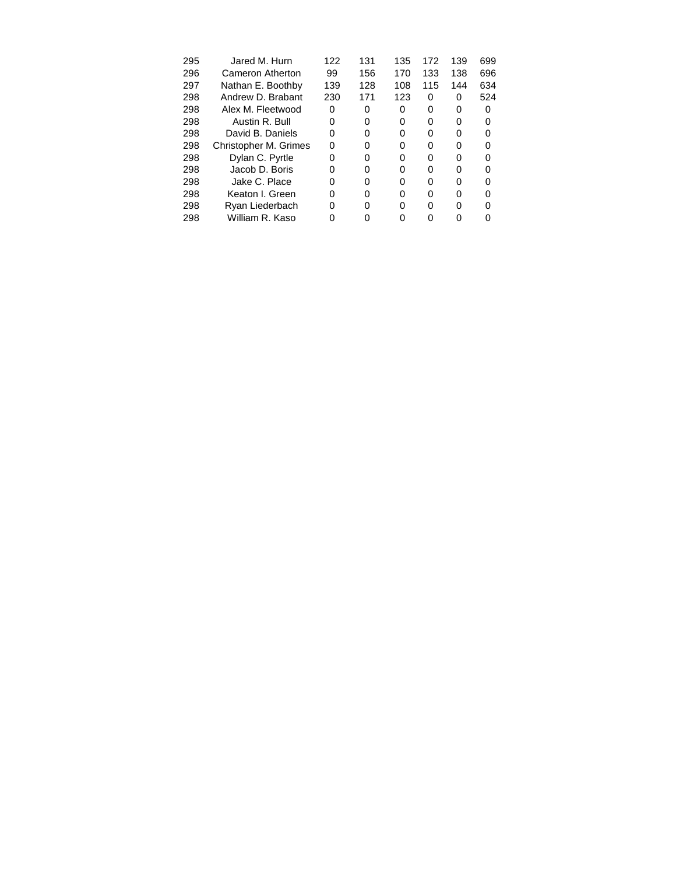| 295 | Jared M. Hurn         | 122 | 131 | 135 | 172 | 139 | 699 |
|-----|-----------------------|-----|-----|-----|-----|-----|-----|
| 296 | Cameron Atherton      | 99  | 156 | 170 | 133 | 138 | 696 |
| 297 | Nathan E. Boothby     | 139 | 128 | 108 | 115 | 144 | 634 |
| 298 | Andrew D. Brabant     | 230 | 171 | 123 | 0   | 0   | 524 |
| 298 | Alex M. Fleetwood     | 0   | 0   | 0   | 0   | 0   |     |
| 298 | Austin R. Bull        |     | 0   | 0   | O   | O   |     |
| 298 | David B. Daniels      | O   | O   | 0   | U   | U   |     |
| 298 | Christopher M. Grimes | O   | O   | 0   | O   | O   |     |
| 298 | Dylan C. Pyrtle       | O   | O   | O   | O   | O   |     |
| 298 | Jacob D. Boris        |     | U   | 0   | U   | ŋ   |     |
| 298 | Jake C. Place         | ŋ   | O   | 0   | O   | O   |     |
| 298 | Keaton I. Green       | O   | O   | 0   | O   | O   |     |
| 298 | Ryan Liederbach       |     | U   | 0   | U   | U   |     |
| 298 | William R. Kaso       |     |     |     |     |     |     |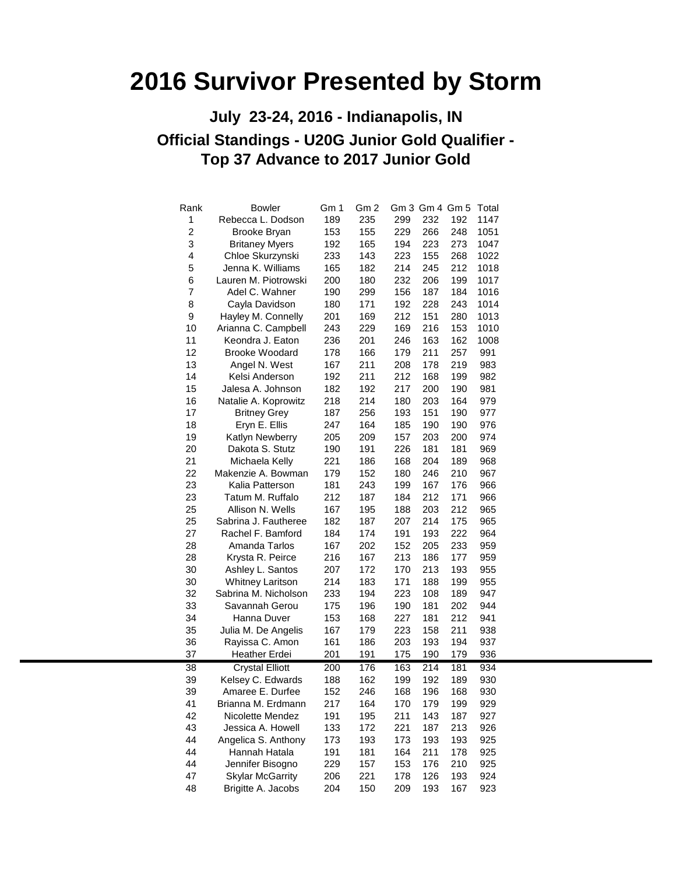### **Official Standings - U20G Junior Gold Qualifier - Top 37 Advance to 2017 Junior Gold July 23-24, 2016 - Indianapolis, IN**

| Rank             | <b>Bowler</b>           | Gm 1 | Gm <sub>2</sub> |     |     | Gm 3 Gm 4 Gm 5 Total |      |
|------------------|-------------------------|------|-----------------|-----|-----|----------------------|------|
| 1                | Rebecca L. Dodson       | 189  | 235             | 299 | 232 | 192                  | 1147 |
| $\boldsymbol{2}$ | Brooke Bryan            | 153  | 155             | 229 | 266 | 248                  | 1051 |
| 3                | <b>Britaney Myers</b>   | 192  | 165             | 194 | 223 | 273                  | 1047 |
| 4                | Chloe Skurzynski        | 233  | 143             | 223 | 155 | 268                  | 1022 |
| 5                | Jenna K. Williams       | 165  | 182             | 214 | 245 | 212                  | 1018 |
| 6                | Lauren M. Piotrowski    | 200  | 180             | 232 | 206 | 199                  | 1017 |
| $\overline{7}$   | Adel C. Wahner          | 190  | 299             | 156 | 187 | 184                  | 1016 |
| 8                | Cayla Davidson          | 180  | 171             | 192 | 228 | 243                  | 1014 |
| 9                | Hayley M. Connelly      | 201  | 169             | 212 | 151 | 280                  | 1013 |
| 10               | Arianna C. Campbell     | 243  | 229             | 169 | 216 | 153                  | 1010 |
| 11               | Keondra J. Eaton        | 236  | 201             | 246 | 163 | 162                  | 1008 |
| 12               | <b>Brooke Woodard</b>   | 178  | 166             | 179 | 211 | 257                  | 991  |
| 13               | Angel N. West           | 167  | 211             | 208 | 178 | 219                  | 983  |
| 14               | Kelsi Anderson          | 192  | 211             | 212 | 168 | 199                  | 982  |
| 15               | Jalesa A. Johnson       | 182  | 192             | 217 | 200 | 190                  | 981  |
| 16               | Natalie A. Koprowitz    | 218  | 214             | 180 | 203 | 164                  | 979  |
| 17               | <b>Britney Grey</b>     | 187  | 256             | 193 | 151 | 190                  | 977  |
| 18               | Eryn E. Ellis           | 247  | 164             | 185 | 190 | 190                  | 976  |
| 19               | Katlyn Newberry         | 205  | 209             | 157 | 203 | 200                  | 974  |
| 20               | Dakota S. Stutz         | 190  | 191             | 226 | 181 | 181                  | 969  |
| 21               | Michaela Kelly          | 221  | 186             | 168 | 204 | 189                  | 968  |
| 22               | Makenzie A. Bowman      | 179  | 152             | 180 | 246 | 210                  | 967  |
| 23               | Kalia Patterson         | 181  | 243             | 199 | 167 | 176                  | 966  |
| 23               | Tatum M. Ruffalo        | 212  | 187             | 184 | 212 | 171                  | 966  |
| 25               | Allison N. Wells        | 167  | 195             | 188 | 203 | 212                  | 965  |
| 25               | Sabrina J. Fautheree    | 182  | 187             | 207 | 214 | 175                  | 965  |
| 27               | Rachel F. Bamford       | 184  | 174             | 191 | 193 | 222                  | 964  |
| 28               | Amanda Tarlos           | 167  | 202             | 152 | 205 | 233                  | 959  |
| 28               | Krysta R. Peirce        | 216  | 167             | 213 | 186 | 177                  | 959  |
| 30               | Ashley L. Santos        | 207  | 172             | 170 | 213 | 193                  | 955  |
| 30               | <b>Whitney Laritson</b> | 214  | 183             | 171 | 188 | 199                  | 955  |
| 32               | Sabrina M. Nicholson    | 233  | 194             | 223 | 108 | 189                  | 947  |
| 33               | Savannah Gerou          | 175  | 196             | 190 | 181 | 202                  | 944  |
| 34               | Hanna Duver             | 153  | 168             | 227 | 181 | 212                  | 941  |
| 35               | Julia M. De Angelis     | 167  | 179             | 223 | 158 | 211                  | 938  |
| 36               | Rayissa C. Amon         | 161  | 186             | 203 | 193 | 194                  | 937  |
| 37               | <b>Heather Erdei</b>    | 201  | 191             | 175 | 190 | 179                  | 936  |
| 38               | <b>Crystal Elliott</b>  | 200  | 176             | 163 | 214 | 181                  | 934  |
| 39               | Kelsey C. Edwards       | 188  | 162             | 199 | 192 | 189                  | 930  |
| 39               | Amaree E. Durfee        | 152  | 246             | 168 | 196 | 168                  | 930  |
| 41               | Brianna M. Erdmann      | 217  | 164             | 170 | 179 | 199                  | 929  |
| 42               | Nicolette Mendez        | 191  | 195             | 211 | 143 | 187                  | 927  |
| 43               | Jessica A. Howell       | 133  | 172             | 221 | 187 | 213                  | 926  |
| 44               | Angelica S. Anthony     | 173  | 193             | 173 | 193 | 193                  | 925  |
| 44               | Hannah Hatala           | 191  | 181             | 164 | 211 | 178                  | 925  |
| 44               | Jennifer Bisogno        | 229  | 157             | 153 | 176 | 210                  | 925  |
| 47               | <b>Skylar McGarrity</b> | 206  | 221             | 178 | 126 | 193                  | 924  |
| 48               | Brigitte A. Jacobs      | 204  | 150             | 209 | 193 | 167                  | 923  |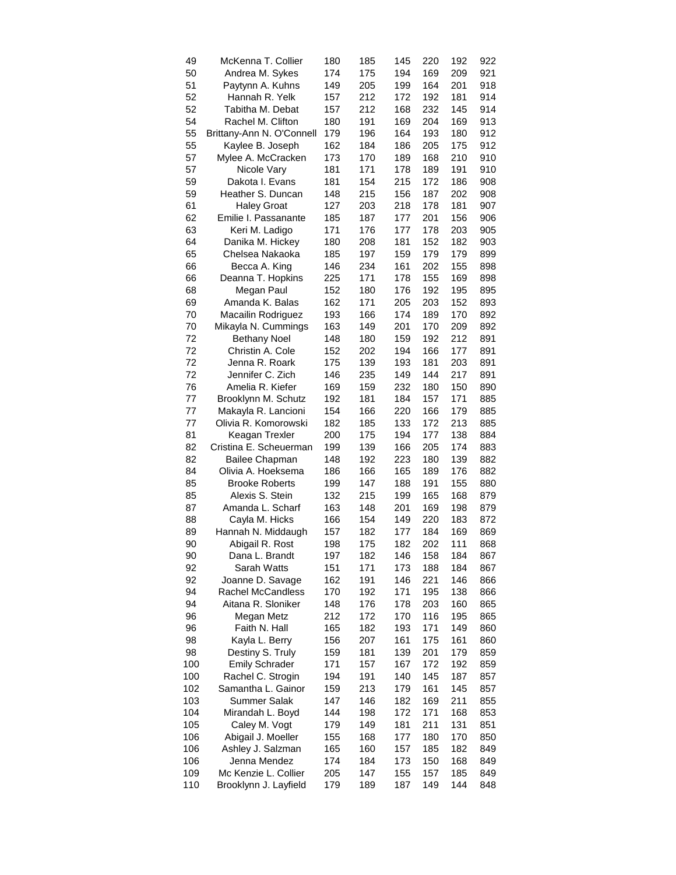| 49  | McKenna T. Collier        | 180 | 185 | 145 | 220 | 192 | 922 |
|-----|---------------------------|-----|-----|-----|-----|-----|-----|
| 50  | Andrea M. Sykes           | 174 | 175 | 194 | 169 | 209 | 921 |
| 51  | Paytynn A. Kuhns          | 149 | 205 | 199 | 164 | 201 | 918 |
| 52  | Hannah R. Yelk            | 157 | 212 | 172 | 192 | 181 | 914 |
| 52  | Tabitha M. Debat          | 157 | 212 | 168 | 232 | 145 | 914 |
| 54  | Rachel M. Clifton         | 180 | 191 | 169 | 204 | 169 | 913 |
| 55  | Brittany-Ann N. O'Connell | 179 | 196 | 164 | 193 | 180 | 912 |
| 55  | Kaylee B. Joseph          | 162 | 184 | 186 | 205 | 175 | 912 |
| 57  | Mylee A. McCracken        | 173 | 170 | 189 | 168 | 210 | 910 |
| 57  | Nicole Vary               | 181 | 171 | 178 | 189 | 191 | 910 |
| 59  | Dakota I. Evans           | 181 | 154 | 215 | 172 | 186 | 908 |
| 59  | Heather S. Duncan         | 148 | 215 | 156 | 187 | 202 | 908 |
| 61  | <b>Haley Groat</b>        | 127 | 203 | 218 | 178 | 181 | 907 |
| 62  | Emilie I. Passanante      | 185 | 187 | 177 | 201 | 156 | 906 |
| 63  |                           | 171 | 176 | 177 | 178 | 203 | 905 |
|     | Keri M. Ladigo            |     |     |     |     |     |     |
| 64  | Danika M. Hickey          | 180 | 208 | 181 | 152 | 182 | 903 |
| 65  | Chelsea Nakaoka           | 185 | 197 | 159 | 179 | 179 | 899 |
| 66  | Becca A. King             | 146 | 234 | 161 | 202 | 155 | 898 |
| 66  | Deanna T. Hopkins         | 225 | 171 | 178 | 155 | 169 | 898 |
| 68  | Megan Paul                | 152 | 180 | 176 | 192 | 195 | 895 |
| 69  | Amanda K. Balas           | 162 | 171 | 205 | 203 | 152 | 893 |
| 70  | Macailin Rodriguez        | 193 | 166 | 174 | 189 | 170 | 892 |
| 70  | Mikayla N. Cummings       | 163 | 149 | 201 | 170 | 209 | 892 |
| 72  | <b>Bethany Noel</b>       | 148 | 180 | 159 | 192 | 212 | 891 |
| 72  | Christin A. Cole          | 152 | 202 | 194 | 166 | 177 | 891 |
| 72  | Jenna R. Roark            | 175 | 139 | 193 | 181 | 203 | 891 |
| 72  | Jennifer C. Zich          | 146 | 235 | 149 | 144 | 217 | 891 |
| 76  | Amelia R. Kiefer          | 169 | 159 | 232 | 180 | 150 | 890 |
| 77  | Brooklynn M. Schutz       | 192 | 181 | 184 | 157 | 171 | 885 |
| 77  | Makayla R. Lancioni       | 154 | 166 | 220 | 166 | 179 | 885 |
| 77  | Olivia R. Komorowski      | 182 | 185 | 133 | 172 | 213 | 885 |
| 81  | Keagan Trexler            | 200 | 175 | 194 | 177 | 138 | 884 |
| 82  | Cristina E. Scheuerman    | 199 | 139 | 166 | 205 | 174 | 883 |
| 82  | <b>Bailee Chapman</b>     | 148 | 192 | 223 | 180 | 139 | 882 |
| 84  | Olivia A. Hoeksema        | 186 | 166 | 165 | 189 | 176 | 882 |
| 85  | <b>Brooke Roberts</b>     | 199 | 147 | 188 | 191 | 155 | 880 |
| 85  | Alexis S. Stein           | 132 | 215 | 199 | 165 | 168 | 879 |
| 87  | Amanda L. Scharf          | 163 | 148 | 201 | 169 | 198 | 879 |
| 88  |                           |     | 154 | 149 |     |     |     |
|     | Cayla M. Hicks            | 166 |     |     | 220 | 183 | 872 |
| 89  | Hannah N. Middaugh        | 157 | 182 | 177 | 184 | 169 | 869 |
| 90  | Abigail R. Rost           | 198 | 175 | 182 | 202 | 111 | 868 |
| 90  | Dana L. Brandt            | 197 | 182 | 146 | 158 | 184 | 867 |
| 92  | Sarah Watts               | 151 | 171 | 173 | 188 | 184 | 867 |
| 92  | Joanne D. Savage          | 162 | 191 | 146 | 221 | 146 | 866 |
| 94  | <b>Rachel McCandless</b>  | 170 | 192 | 171 | 195 | 138 | 866 |
| 94  | Aitana R. Sloniker        | 148 | 176 | 178 | 203 | 160 | 865 |
| 96  | Megan Metz                | 212 | 172 | 170 | 116 | 195 | 865 |
| 96  | Faith N. Hall             | 165 | 182 | 193 | 171 | 149 | 860 |
| 98  | Kayla L. Berry            | 156 | 207 | 161 | 175 | 161 | 860 |
| 98  | Destiny S. Truly          | 159 | 181 | 139 | 201 | 179 | 859 |
| 100 | <b>Emily Schrader</b>     | 171 | 157 | 167 | 172 | 192 | 859 |
| 100 | Rachel C. Strogin         | 194 | 191 | 140 | 145 | 187 | 857 |
| 102 | Samantha L. Gainor        | 159 | 213 | 179 | 161 | 145 | 857 |
| 103 | Summer Salak              | 147 | 146 | 182 | 169 | 211 | 855 |
| 104 | Mirandah L. Boyd          | 144 | 198 | 172 | 171 | 168 | 853 |
| 105 | Caley M. Vogt             | 179 | 149 | 181 | 211 | 131 | 851 |
| 106 | Abigail J. Moeller        | 155 | 168 | 177 | 180 | 170 | 850 |
| 106 | Ashley J. Salzman         | 165 | 160 | 157 | 185 | 182 | 849 |
| 106 | Jenna Mendez              | 174 | 184 | 173 | 150 | 168 | 849 |
| 109 | Mc Kenzie L. Collier      | 205 | 147 | 155 | 157 | 185 | 849 |
| 110 | Brooklynn J. Layfield     | 179 | 189 | 187 | 149 | 144 | 848 |
|     |                           |     |     |     |     |     |     |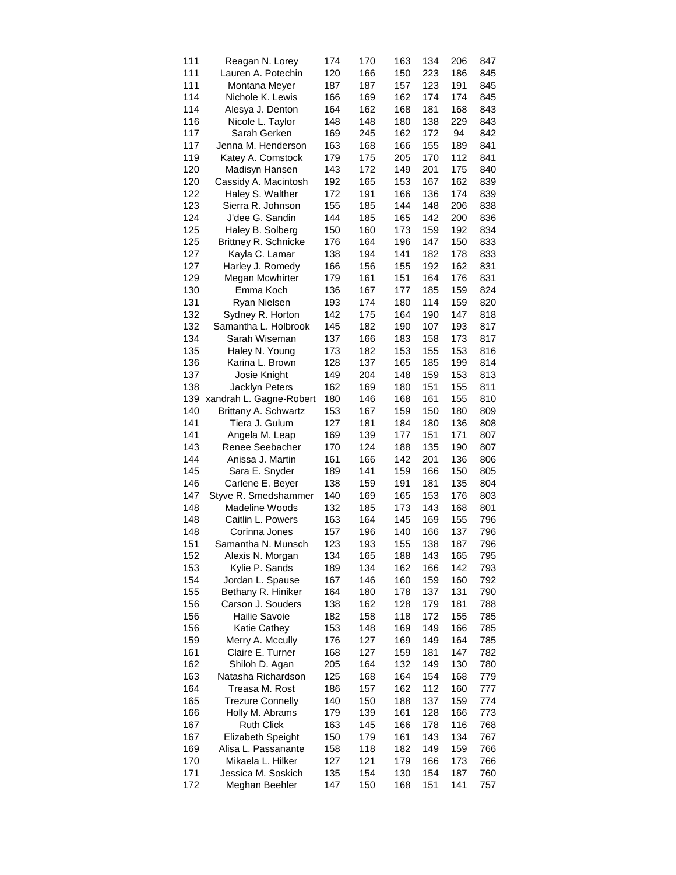| 111 | Reagan N. Lorey             | 174 | 170 | 163 | 134 | 206 | 847 |
|-----|-----------------------------|-----|-----|-----|-----|-----|-----|
| 111 | Lauren A. Potechin          | 120 | 166 | 150 | 223 | 186 | 845 |
| 111 | Montana Meyer               | 187 | 187 | 157 | 123 | 191 | 845 |
| 114 | Nichole K. Lewis            | 166 | 169 | 162 | 174 | 174 | 845 |
| 114 | Alesya J. Denton            | 164 | 162 | 168 | 181 | 168 | 843 |
| 116 | Nicole L. Taylor            | 148 | 148 | 180 | 138 | 229 | 843 |
| 117 | Sarah Gerken                | 169 | 245 | 162 | 172 | 94  | 842 |
| 117 | Jenna M. Henderson          | 163 | 168 | 166 | 155 | 189 | 841 |
| 119 | Katey A. Comstock           | 179 | 175 | 205 | 170 | 112 | 841 |
| 120 | Madisyn Hansen              | 143 | 172 | 149 | 201 | 175 | 840 |
| 120 | Cassidy A. Macintosh        | 192 | 165 | 153 | 167 | 162 | 839 |
| 122 | Haley S. Walther            | 172 | 191 | 166 | 136 | 174 | 839 |
| 123 | Sierra R. Johnson           | 155 | 185 | 144 | 148 | 206 | 838 |
| 124 | J'dee G. Sandin             | 144 | 185 | 165 | 142 | 200 | 836 |
|     |                             |     |     |     |     |     |     |
| 125 | Haley B. Solberg            | 150 | 160 | 173 | 159 | 192 | 834 |
| 125 | <b>Brittney R. Schnicke</b> | 176 | 164 | 196 | 147 | 150 | 833 |
| 127 | Kayla C. Lamar              | 138 | 194 | 141 | 182 | 178 | 833 |
| 127 | Harley J. Romedy            | 166 | 156 | 155 | 192 | 162 | 831 |
| 129 | Megan Mcwhirter             | 179 | 161 | 151 | 164 | 176 | 831 |
| 130 | Emma Koch                   | 136 | 167 | 177 | 185 | 159 | 824 |
| 131 | Ryan Nielsen                | 193 | 174 | 180 | 114 | 159 | 820 |
| 132 | Sydney R. Horton            | 142 | 175 | 164 | 190 | 147 | 818 |
| 132 | Samantha L. Holbrook        | 145 | 182 | 190 | 107 | 193 | 817 |
| 134 | Sarah Wiseman               | 137 | 166 | 183 | 158 | 173 | 817 |
| 135 | Haley N. Young              | 173 | 182 | 153 | 155 | 153 | 816 |
| 136 | Karina L. Brown             | 128 | 137 | 165 | 185 | 199 | 814 |
| 137 | Josie Knight                | 149 | 204 | 148 | 159 | 153 | 813 |
| 138 | <b>Jacklyn Peters</b>       | 162 | 169 | 180 | 151 | 155 | 811 |
| 139 | xandrah L. Gagne-Robert     | 180 | 146 | 168 | 161 | 155 | 810 |
| 140 | Brittany A. Schwartz        | 153 | 167 | 159 | 150 | 180 | 809 |
| 141 | Tiera J. Gulum              | 127 | 181 | 184 | 180 | 136 | 808 |
| 141 | Angela M. Leap              | 169 | 139 | 177 | 151 | 171 | 807 |
| 143 | Renee Seebacher             | 170 | 124 | 188 | 135 | 190 | 807 |
| 144 | Anissa J. Martin            | 161 | 166 | 142 | 201 | 136 | 806 |
| 145 | Sara E. Snyder              | 189 | 141 | 159 | 166 | 150 | 805 |
| 146 | Carlene E. Beyer            | 138 | 159 | 191 | 181 | 135 | 804 |
| 147 | Styve R. Smedshammer        | 140 | 169 | 165 | 153 | 176 | 803 |
| 148 | <b>Madeline Woods</b>       | 132 | 185 | 173 | 143 | 168 | 801 |
|     |                             |     |     |     |     |     |     |
| 148 | Caitlin L. Powers           | 163 | 164 | 145 | 169 | 155 | 796 |
| 148 | Corinna Jones               | 157 | 196 | 140 | 166 | 137 | 796 |
| 151 | Samantha N. Munsch          | 123 | 193 | 155 | 138 | 187 | 796 |
| 152 | Alexis N. Morgan            | 134 | 165 | 188 | 143 | 165 | 795 |
| 153 | Kylie P. Sands              | 189 | 134 | 162 | 166 | 142 | 793 |
| 154 | Jordan L. Spause            | 167 | 146 | 160 | 159 | 160 | 792 |
| 155 | Bethany R. Hiniker          | 164 | 180 | 178 | 137 | 131 | 790 |
| 156 | Carson J. Souders           | 138 | 162 | 128 | 179 | 181 | 788 |
| 156 | Hailie Savoie               | 182 | 158 | 118 | 172 | 155 | 785 |
| 156 | Katie Cathey                | 153 | 148 | 169 | 149 | 166 | 785 |
| 159 | Merry A. Mccully            | 176 | 127 | 169 | 149 | 164 | 785 |
| 161 | Claire E. Turner            | 168 | 127 | 159 | 181 | 147 | 782 |
| 162 | Shiloh D. Agan              | 205 | 164 | 132 | 149 | 130 | 780 |
| 163 | Natasha Richardson          | 125 | 168 | 164 | 154 | 168 | 779 |
| 164 | Treasa M. Rost              | 186 | 157 | 162 | 112 | 160 | 777 |
| 165 | <b>Trezure Connelly</b>     | 140 | 150 | 188 | 137 | 159 | 774 |
| 166 | Holly M. Abrams             | 179 | 139 | 161 | 128 | 166 | 773 |
| 167 | <b>Ruth Click</b>           | 163 | 145 | 166 | 178 | 116 | 768 |
| 167 | <b>Elizabeth Speight</b>    | 150 | 179 | 161 | 143 | 134 | 767 |
| 169 | Alisa L. Passanante         | 158 | 118 | 182 | 149 | 159 | 766 |
| 170 | Mikaela L. Hilker           | 127 | 121 | 179 | 166 | 173 | 766 |
| 171 | Jessica M. Soskich          | 135 | 154 | 130 | 154 | 187 | 760 |
| 172 | Meghan Beehler              | 147 | 150 | 168 | 151 | 141 | 757 |
|     |                             |     |     |     |     |     |     |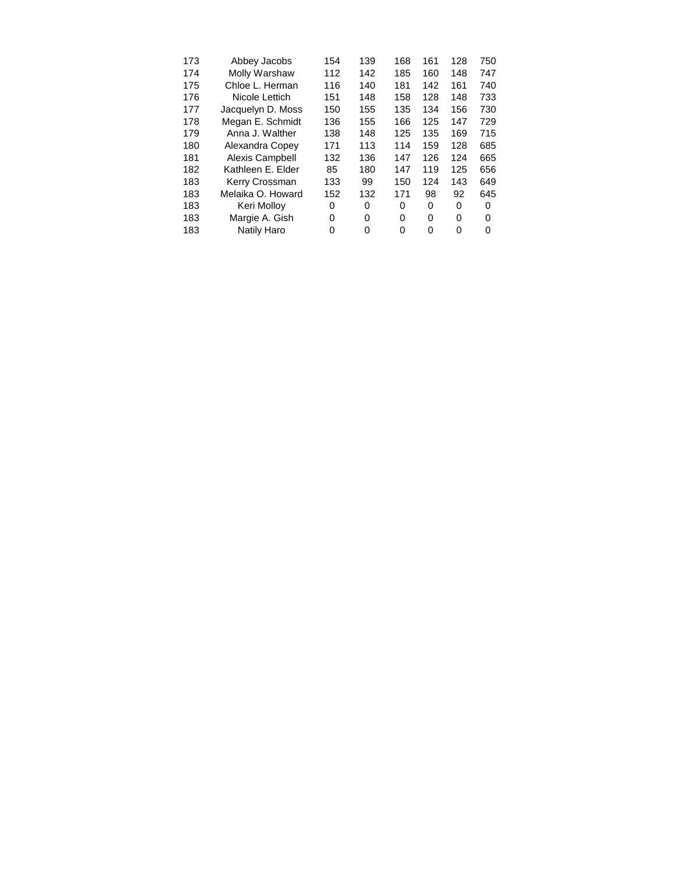| 173 | Abbey Jacobs      | 154 | 139 | 168 | 161 | 128 | 750 |
|-----|-------------------|-----|-----|-----|-----|-----|-----|
| 174 | Molly Warshaw     | 112 | 142 | 185 | 160 | 148 | 747 |
| 175 | Chloe L. Herman   | 116 | 140 | 181 | 142 | 161 | 740 |
| 176 | Nicole Lettich    | 151 | 148 | 158 | 128 | 148 | 733 |
| 177 | Jacquelyn D. Moss | 150 | 155 | 135 | 134 | 156 | 730 |
| 178 | Megan E. Schmidt  | 136 | 155 | 166 | 125 | 147 | 729 |
| 179 | Anna J. Walther   | 138 | 148 | 125 | 135 | 169 | 715 |
| 180 | Alexandra Copey   | 171 | 113 | 114 | 159 | 128 | 685 |
| 181 | Alexis Campbell   | 132 | 136 | 147 | 126 | 124 | 665 |
| 182 | Kathleen E. Elder | 85  | 180 | 147 | 119 | 125 | 656 |
| 183 | Kerry Crossman    | 133 | 99  | 150 | 124 | 143 | 649 |
| 183 | Melaika O. Howard | 152 | 132 | 171 | 98  | 92  | 645 |
| 183 | Keri Molloy       | 0   | 0   | 0   | 0   | 0   | 0   |
| 183 | Margie A. Gish    | 0   | 0   | 0   | 0   | 0   | 0   |
| 183 | Natily Haro       | 0   | 0   | 0   | 0   | 0   | 0   |
|     |                   |     |     |     |     |     |     |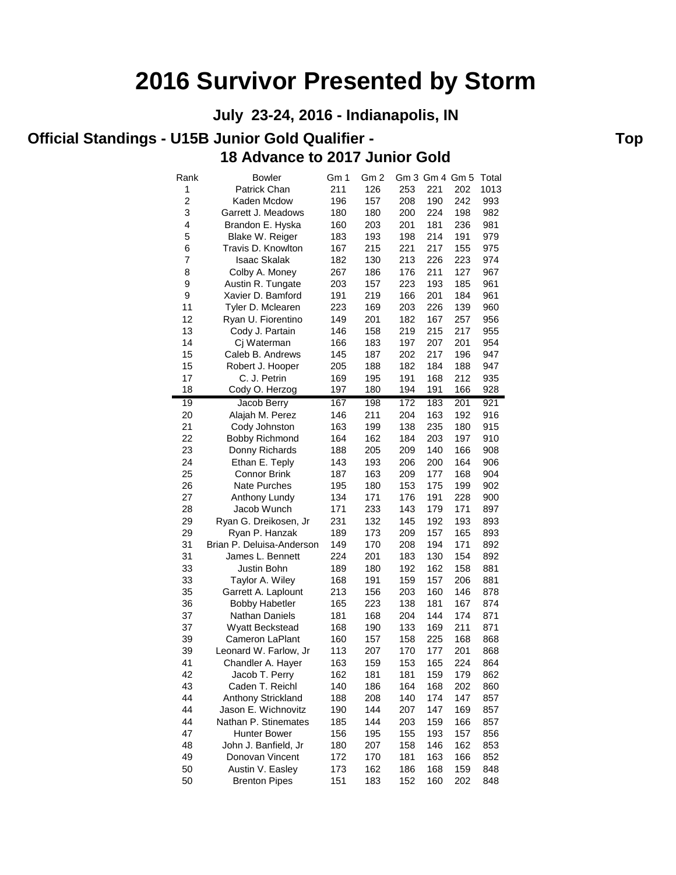**July 23-24, 2016 - Indianapolis, IN**

#### **Official Standings - U15B Junior Gold Qualifier - The Contract of Top Contract Contract Contract Contract Contract Contract Contract Contract Contract Contract Contract Contract Contract Contract Contract Contract Contrac 18 Advance to 2017 Junior Gold**

| Rank            | Bowler                    | Gm 1       | Gm 2 |     | Gm 3 Gm 4 Gm 5 |                  | Total      |
|-----------------|---------------------------|------------|------|-----|----------------|------------------|------------|
| 1               | Patrick Chan              | 211        | 126  | 253 | 221            | 202              | 1013       |
| $\overline{c}$  | Kaden Mcdow               | 196        | 157  | 208 | 190            | 242              | 993        |
| 3               | Garrett J. Meadows        | 180        | 180  | 200 | 224            | 198              | 982        |
| 4               | Brandon E. Hyska          | 160        | 203  | 201 | 181            | 236              | 981        |
| 5               | Blake W. Reiger           | 183        | 193  | 198 | 214            | 191              | 979        |
| 6               | Travis D. Knowlton        | 167        | 215  | 221 | 217            | 155              | 975        |
| 7               | <b>Isaac Skalak</b>       | 182        | 130  | 213 | 226            | 223              | 974        |
| 8               | Colby A. Money            | 267        | 186  | 176 | 211            | 127              | 967        |
| 9               | Austin R. Tungate         | 203        | 157  | 223 | 193            | 185              | 961        |
| 9               | Xavier D. Bamford         | 191        | 219  | 166 | 201            | 184              | 961        |
| 11              | Tyler D. Mclearen         | 223        | 169  | 203 | 226            | 139              | 960        |
| 12              | Ryan U. Fiorentino        | 149        | 201  | 182 | 167            | 257              | 956        |
| 13              | Cody J. Partain           | 146        | 158  | 219 | 215            | 217              | 955        |
| 14              | Cj Waterman               | 166        | 183  | 197 | 207            | 201              | 954        |
| 15              | Caleb B. Andrews          | 145        | 187  | 202 | 217            | 196              | 947        |
| 15              | Robert J. Hooper          | 205        | 188  | 182 | 184            | 188              | 947        |
| 17              | C. J. Petrin              | 169        | 195  | 191 | 168            | 212              | 935        |
| 18              | Cody O. Herzog            | 197        | 180  | 194 | 191            | 166              | 928        |
| $\overline{19}$ | Jacob Berry               | 167        | 198  | 172 | 183            | $\overline{201}$ | 921        |
| 20              | Alajah M. Perez           | 146        | 211  | 204 | 163            | 192              | 916        |
| 21              | Cody Johnston             | 163        | 199  | 138 | 235            | 180              | 915        |
| 22              | <b>Bobby Richmond</b>     | 164        | 162  | 184 | 203            | 197              | 910        |
| 23              | Donny Richards            | 188        | 205  | 209 | 140            | 166              | 908        |
| 24              | Ethan E. Teply            | 143        | 193  | 206 | 200            | 164              | 906        |
| 25              | <b>Connor Brink</b>       | 187        | 163  | 209 | 177            | 168              | 904        |
| 26              | <b>Nate Purches</b>       | 195        | 180  | 153 | 175            | 199              | 902        |
| 27              | Anthony Lundy             | 134        | 171  | 176 | 191            | 228              | 900        |
| 28              | Jacob Wunch               | 171        | 233  | 143 | 179            | 171              | 897        |
| 29              | Ryan G. Dreikosen, Jr     | 231        | 132  | 145 | 192            | 193              | 893        |
| 29              | Ryan P. Hanzak            | 189        | 173  | 209 | 157            | 165              | 893        |
| 31              | Brian P. Deluisa-Anderson | 149        | 170  | 208 | 194            | 171              | 892        |
| 31              | James L. Bennett          | 224        | 201  | 183 | 130            | 154              | 892        |
| 33              | Justin Bohn               | 189        | 180  | 192 | 162            | 158              | 881        |
| 33              | Taylor A. Wiley           | 168        | 191  | 159 | 157            | 206              | 881        |
| 35              | Garrett A. Laplount       | 213        | 156  | 203 | 160            | 146              | 878        |
| 36              | <b>Bobby Habetler</b>     | 165        | 223  | 138 | 181            | 167              | 874        |
| 37              | <b>Nathan Daniels</b>     | 181        | 168  | 204 | 144            | 174              | 871        |
| 37              | <b>Wyatt Beckstead</b>    | 168        | 190  | 133 | 169            | 211              | 871        |
| 39              | Cameron LaPlant           | 160        | 157  | 158 | 225            | 168              | 868        |
| 39              | Leonard W. Farlow, Jr     | 113        | 207  | 170 | 177            | 201              | 868        |
| 41              | Chandler A. Hayer         | 163        | 159  | 153 | 165            | 224              | 864        |
| 42              | Jacob T. Perry            | 162        | 181  | 181 | 159            | 179              | 862        |
| 43              | Caden T. Reichl           | 140        | 186  | 164 | 168            | 202              | 860        |
| 44              | Anthony Strickland        | 188        | 208  | 140 | 174            | 147              | 857        |
| 44              | Jason E. Wichnovitz       | 190        | 144  | 207 | 147            | 169              | 857        |
| 44              | Nathan P. Stinemates      | 185        | 144  | 203 | 159            | 166              | 857        |
| 47              | <b>Hunter Bower</b>       | 156        | 195  | 155 | 193            | 157              |            |
| 48              | John J. Banfield, Jr      | 180        | 207  | 158 | 146            | 162              | 856<br>853 |
| 49              | Donovan Vincent           | 172        | 170  | 181 | 163            | 166              | 852        |
| 50              | Austin V. Easley          |            | 162  | 186 | 168            | 159              | 848        |
| 50              | <b>Brenton Pipes</b>      | 173<br>151 | 183  | 152 | 160            | 202              | 848        |
|                 |                           |            |      |     |                |                  |            |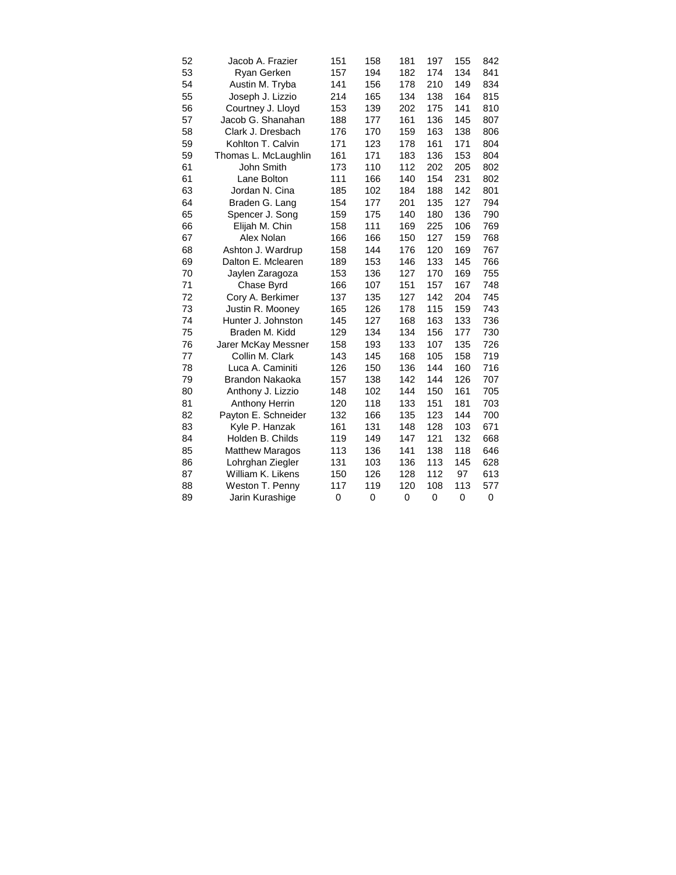| 52 | Jacob A. Frazier       | 151 | 158         | 181 | 197 | 155         | 842 |
|----|------------------------|-----|-------------|-----|-----|-------------|-----|
| 53 | Ryan Gerken            | 157 | 194         | 182 | 174 | 134         | 841 |
| 54 | Austin M. Tryba        | 141 | 156         | 178 | 210 | 149         | 834 |
| 55 | Joseph J. Lizzio       | 214 | 165         | 134 | 138 | 164         | 815 |
| 56 | Courtney J. Lloyd      | 153 | 139         | 202 | 175 | 141         | 810 |
| 57 | Jacob G. Shanahan      | 188 | 177         | 161 | 136 | 145         | 807 |
| 58 | Clark J. Dresbach      | 176 | 170         | 159 | 163 | 138         | 806 |
| 59 | Kohlton T. Calvin      | 171 | 123         | 178 | 161 | 171         | 804 |
| 59 | Thomas L. McLaughlin   | 161 | 171         | 183 | 136 | 153         | 804 |
| 61 | John Smith             | 173 | 110         | 112 | 202 | 205         | 802 |
| 61 | Lane Bolton            | 111 | 166         | 140 | 154 | 231         | 802 |
| 63 | Jordan N. Cina         | 185 | 102         | 184 | 188 | 142         | 801 |
| 64 | Braden G. Lang         | 154 | 177         | 201 | 135 | 127         | 794 |
| 65 | Spencer J. Song        | 159 | 175         | 140 | 180 | 136         | 790 |
| 66 | Elijah M. Chin         | 158 | 111         | 169 | 225 | 106         | 769 |
| 67 | Alex Nolan             | 166 | 166         | 150 | 127 | 159         | 768 |
| 68 | Ashton J. Wardrup      | 158 | 144         | 176 | 120 | 169         | 767 |
| 69 | Dalton E. Mclearen     | 189 | 153         | 146 | 133 | 145         | 766 |
| 70 | Jaylen Zaragoza        | 153 | 136         | 127 | 170 | 169         | 755 |
| 71 | Chase Byrd             | 166 | 107         | 151 | 157 | 167         | 748 |
| 72 | Cory A. Berkimer       | 137 | 135         | 127 | 142 | 204         | 745 |
| 73 | Justin R. Mooney       | 165 | 126         | 178 | 115 | 159         | 743 |
| 74 | Hunter J. Johnston     | 145 | 127         | 168 | 163 | 133         | 736 |
| 75 | Braden M. Kidd         | 129 | 134         | 134 | 156 | 177         | 730 |
| 76 | Jarer McKay Messner    | 158 | 193         | 133 | 107 | 135         | 726 |
| 77 | Collin M. Clark        | 143 | 145         | 168 | 105 | 158         | 719 |
| 78 | Luca A. Caminiti       | 126 | 150         | 136 | 144 | 160         | 716 |
| 79 | Brandon Nakaoka        | 157 | 138         | 142 | 144 | 126         | 707 |
| 80 | Anthony J. Lizzio      | 148 | 102         | 144 | 150 | 161         | 705 |
| 81 | <b>Anthony Herrin</b>  | 120 | 118         | 133 | 151 | 181         | 703 |
| 82 | Payton E. Schneider    | 132 | 166         | 135 | 123 | 144         | 700 |
| 83 | Kyle P. Hanzak         | 161 | 131         | 148 | 128 | 103         | 671 |
| 84 | Holden B. Childs       | 119 | 149         | 147 | 121 | 132         | 668 |
| 85 | <b>Matthew Maragos</b> | 113 | 136         | 141 | 138 | 118         | 646 |
| 86 | Lohrghan Ziegler       | 131 | 103         | 136 | 113 | 145         | 628 |
| 87 | William K. Likens      | 150 | 126         | 128 | 112 | 97          | 613 |
| 88 | Weston T. Penny        | 117 | 119         | 120 | 108 | 113         | 577 |
| 89 | Jarin Kurashige        | 0   | $\mathbf 0$ | 0   | 0   | $\mathbf 0$ | 0   |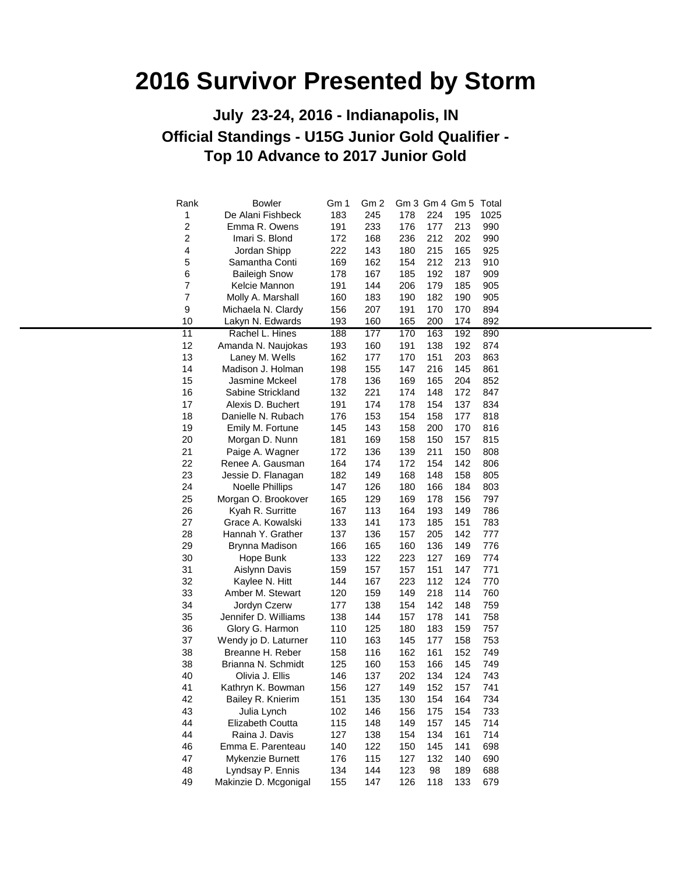#### **Official Standings - U15G Junior Gold Qualifier - Top 10 Advance to 2017 Junior Gold July 23-24, 2016 - Indianapolis, IN**

| Rank           | <b>Bowler</b>          | Gm 1 | Gm <sub>2</sub> |     | Gm 3 Gm 4 Gm 5 Total |     |      |
|----------------|------------------------|------|-----------------|-----|----------------------|-----|------|
| 1              | De Alani Fishbeck      | 183  | 245             | 178 | 224                  | 195 | 1025 |
| $\overline{c}$ | Emma R. Owens          | 191  | 233             | 176 | 177                  | 213 | 990  |
| 2              | Imari S. Blond         | 172  | 168             | 236 | 212                  | 202 | 990  |
| 4              | Jordan Shipp           | 222  | 143             | 180 | 215                  | 165 | 925  |
| 5              | Samantha Conti         | 169  | 162             | 154 | 212                  | 213 | 910  |
| 6              | <b>Baileigh Snow</b>   | 178  | 167             | 185 | 192                  | 187 | 909  |
| $\overline{7}$ | Kelcie Mannon          | 191  | 144             | 206 | 179                  | 185 | 905  |
| $\overline{7}$ | Molly A. Marshall      | 160  | 183             | 190 | 182                  | 190 | 905  |
| 9              | Michaela N. Clardy     | 156  | 207             | 191 | 170                  | 170 | 894  |
| 10             | Lakyn N. Edwards       | 193  | 160             | 165 | 200                  | 174 | 892  |
| 11             | Rachel L. Hines        | 188  | 177             | 170 | 163                  | 192 | 890  |
| 12             | Amanda N. Naujokas     | 193  | 160             | 191 | 138                  | 192 | 874  |
| 13             | Laney M. Wells         | 162  | 177             | 170 | 151                  | 203 | 863  |
| 14             | Madison J. Holman      | 198  | 155             | 147 | 216                  | 145 | 861  |
| 15             | Jasmine Mckeel         | 178  | 136             | 169 | 165                  | 204 | 852  |
| 16             | Sabine Strickland      | 132  | 221             | 174 | 148                  | 172 | 847  |
| 17             | Alexis D. Buchert      | 191  | 174             | 178 | 154                  | 137 | 834  |
| 18             | Danielle N. Rubach     | 176  | 153             | 154 | 158                  | 177 | 818  |
| 19             | Emily M. Fortune       | 145  | 143             | 158 | 200                  | 170 | 816  |
| 20             | Morgan D. Nunn         | 181  | 169             | 158 | 150                  | 157 | 815  |
| 21             | Paige A. Wagner        | 172  | 136             | 139 | 211                  | 150 | 808  |
| 22             | Renee A. Gausman       | 164  | 174             | 172 | 154                  | 142 | 806  |
| 23             | Jessie D. Flanagan     | 182  | 149             | 168 | 148                  | 158 | 805  |
| 24             | <b>Noelle Phillips</b> | 147  | 126             | 180 | 166                  | 184 | 803  |
| 25             | Morgan O. Brookover    | 165  | 129             | 169 | 178                  | 156 | 797  |
| 26             | Kyah R. Surritte       | 167  | 113             | 164 | 193                  | 149 | 786  |
| 27             | Grace A. Kowalski      | 133  | 141             | 173 | 185                  | 151 | 783  |
| 28             | Hannah Y. Grather      | 137  | 136             | 157 | 205                  | 142 | 777  |
| 29             | Brynna Madison         | 166  | 165             | 160 | 136                  | 149 | 776  |
| 30             | Hope Bunk              | 133  | 122             | 223 | 127                  | 169 | 774  |
| 31             | Aislynn Davis          | 159  | 157             | 157 | 151                  | 147 | 771  |
|                |                        |      |                 |     | 112                  | 124 |      |
| 32             | Kaylee N. Hitt         | 144  | 167             | 223 | 218                  |     | 770  |
| 33             | Amber M. Stewart       | 120  | 159             | 149 |                      | 114 | 760  |
| 34             | Jordyn Czerw           | 177  | 138             | 154 | 142                  | 148 | 759  |
| 35             | Jennifer D. Williams   | 138  | 144             | 157 | 178                  | 141 | 758  |
| 36             | Glory G. Harmon        | 110  | 125             | 180 | 183                  | 159 | 757  |
| 37             | Wendy jo D. Laturner   | 110  | 163             | 145 | 177                  | 158 | 753  |
| 38             | Breanne H. Reber       | 158  | 116             | 162 | 161                  | 152 | 749  |
| 38             | Brianna N. Schmidt     | 125  | 160             | 153 | 166                  | 145 | 749  |
| 40             | Olivia J. Ellis        | 146  | 137             | 202 | 134                  | 124 | 743  |
| 41             | Kathryn K. Bowman      | 156  | 127             | 149 | 152                  | 157 | 741  |
| 42             | Bailey R. Knierim      | 151  | 135             | 130 | 154                  | 164 | 734  |
| 43             | Julia Lynch            | 102  | 146             | 156 | 175                  | 154 | 733  |
| 44             | Elizabeth Coutta       | 115  | 148             | 149 | 157                  | 145 | 714  |
| 44             | Raina J. Davis         | 127  | 138             | 154 | 134                  | 161 | 714  |
| 46             | Emma E. Parenteau      | 140  | 122             | 150 | 145                  | 141 | 698  |
| 47             | Mykenzie Burnett       | 176  | 115             | 127 | 132                  | 140 | 690  |
| 48             | Lyndsay P. Ennis       | 134  | 144             | 123 | 98                   | 189 | 688  |
| 49             | Makinzie D. Mcgonigal  | 155  | 147             | 126 | 118                  | 133 | 679  |
|                |                        |      |                 |     |                      |     |      |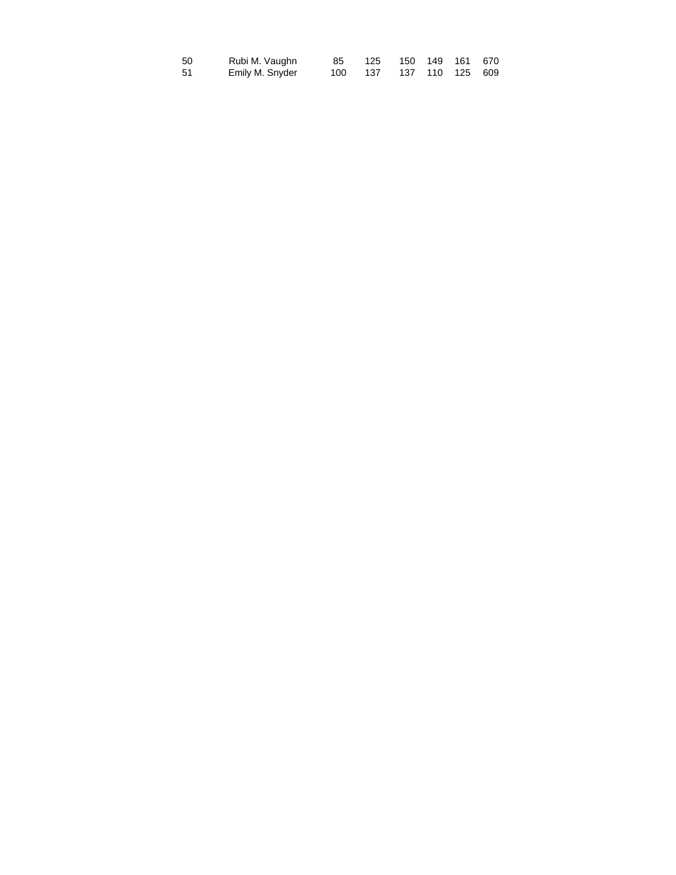| 50 | Rubi M. Vaughn  | 85      | 125 150 149 161 670 |  |                 |  |
|----|-----------------|---------|---------------------|--|-----------------|--|
| 51 | Emily M. Snyder | 100 137 |                     |  | 137 110 125 609 |  |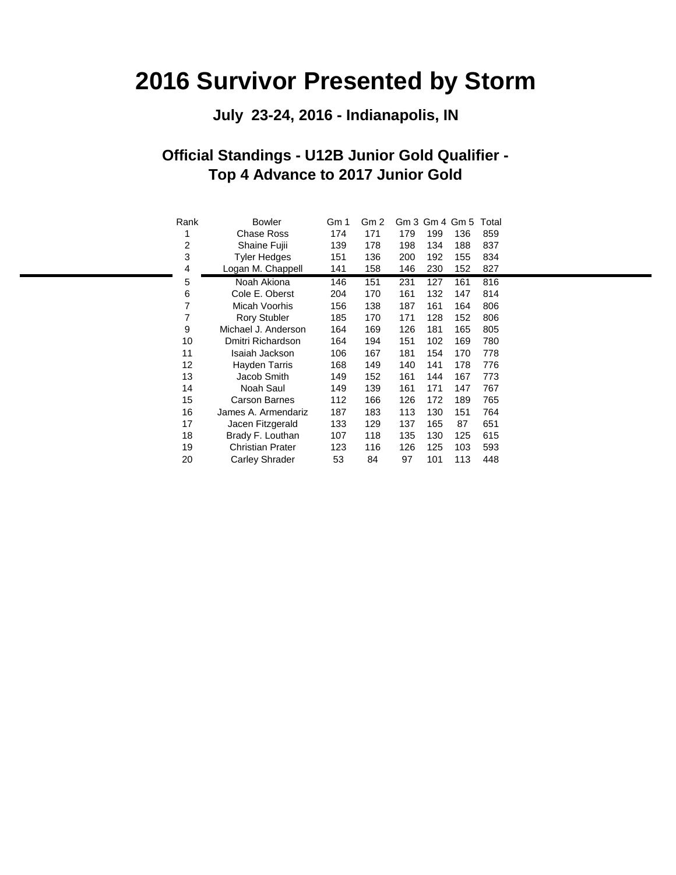#### **July 23-24, 2016 - Indianapolis, IN**

#### **Official Standings - U12B Junior Gold Qualifier - Top 4 Advance to 2017 Junior Gold**

| Rank | <b>Bowler</b>           | Gm 1 | Gm 2 |     | Gm 3 Gm 4 Gm 5 |     | Total |
|------|-------------------------|------|------|-----|----------------|-----|-------|
| 1    | Chase Ross              | 174  | 171  | 179 | 199            | 136 | 859   |
| 2    | Shaine Fujii            | 139  | 178  | 198 | 134            | 188 | 837   |
| 3    | <b>Tyler Hedges</b>     | 151  | 136  | 200 | 192            | 155 | 834   |
| 4    | Logan M. Chappell       | 141  | 158  | 146 | 230            | 152 | 827   |
| 5    | Noah Akiona             | 146  | 151  | 231 | 127            | 161 | 816   |
| 6    | Cole E. Oberst          | 204  | 170  | 161 | 132            | 147 | 814   |
| 7    | Micah Voorhis           | 156  | 138  | 187 | 161            | 164 | 806   |
| 7    | <b>Rory Stubler</b>     | 185  | 170  | 171 | 128            | 152 | 806   |
| 9    | Michael J. Anderson     | 164  | 169  | 126 | 181            | 165 | 805   |
| 10   | Dmitri Richardson       | 164  | 194  | 151 | 102            | 169 | 780   |
| 11   | Isaiah Jackson          | 106  | 167  | 181 | 154            | 170 | 778   |
| 12   | Hayden Tarris           | 168  | 149  | 140 | 141            | 178 | 776   |
| 13   | Jacob Smith             | 149  | 152  | 161 | 144            | 167 | 773   |
| 14   | Noah Saul               | 149  | 139  | 161 | 171            | 147 | 767   |
| 15   | Carson Barnes           | 112  | 166  | 126 | 172            | 189 | 765   |
| 16   | James A. Armendariz     | 187  | 183  | 113 | 130            | 151 | 764   |
| 17   | Jacen Fitzgerald        | 133  | 129  | 137 | 165            | 87  | 651   |
| 18   | Brady F. Louthan        | 107  | 118  | 135 | 130            | 125 | 615   |
| 19   | <b>Christian Prater</b> | 123  | 116  | 126 | 125            | 103 | 593   |
| 20   | <b>Carley Shrader</b>   | 53   | 84   | 97  | 101            | 113 | 448   |